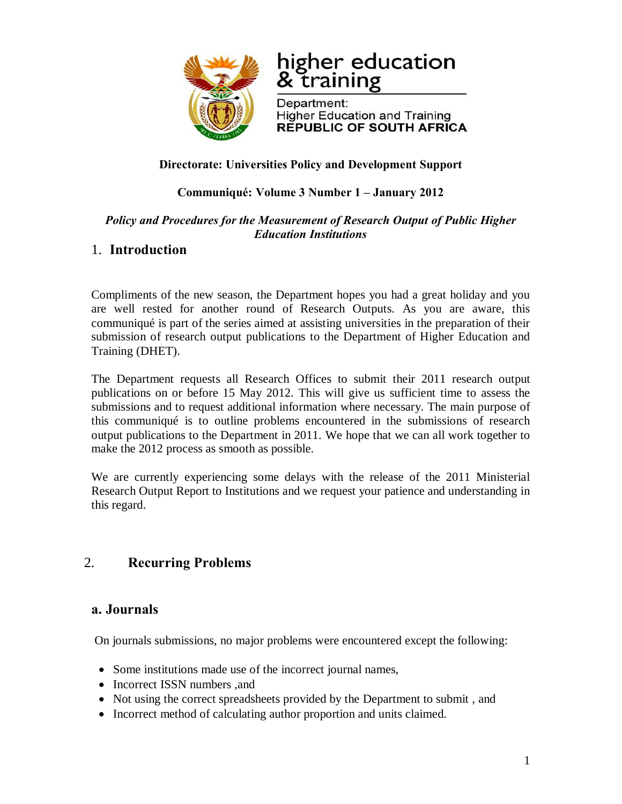

# higher education & training

Department: **Higher Education and Training REPUBLIC OF SOUTH AFRICA** 

#### **Directorate: Universities Policy and Development Support**

#### **Communiqué: Volume 3 Number 1 – January 2012**

#### *Policy and Procedures for the Measurement of Research Output of Public Higher Education Institutions*

# 1. **Introduction**

Compliments of the new season, the Department hopes you had a great holiday and you are well rested for another round of Research Outputs. As you are aware, this communiqué is part of the series aimed at assisting universities in the preparation of their submission of research output publications to the Department of Higher Education and Training (DHET).

The Department requests all Research Offices to submit their 2011 research output publications on or before 15 May 2012. This will give us sufficient time to assess the submissions and to request additional information where necessary. The main purpose of this communiqué is to outline problems encountered in the submissions of research output publications to the Department in 2011. We hope that we can all work together to make the 2012 process as smooth as possible.

We are currently experiencing some delays with the release of the 2011 Ministerial Research Output Report to Institutions and we request your patience and understanding in this regard.

# 2. **Recurring Problems**

## **a. Journals**

On journals submissions, no major problems were encountered except the following:

- Some institutions made use of the incorrect journal names,
- Incorrect ISSN numbers , and
- Not using the correct spreadsheets provided by the Department to submit, and
- · Incorrect method of calculating author proportion and units claimed.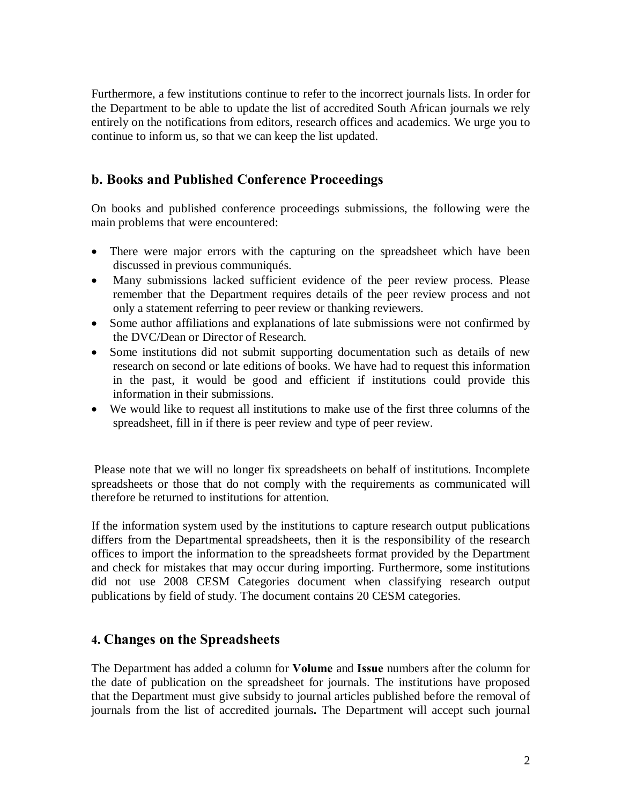Furthermore, a few institutions continue to refer to the incorrect journals lists. In order for the Department to be able to update the list of accredited South African journals we rely entirely on the notifications from editors, research offices and academics. We urge you to continue to inform us, so that we can keep the list updated.

## **b. Books and Published Conference Proceedings**

On books and published conference proceedings submissions, the following were the main problems that were encountered:

- There were major errors with the capturing on the spreadsheet which have been discussed in previous communiqués.
- · Many submissions lacked sufficient evidence of the peer review process. Please remember that the Department requires details of the peer review process and not only a statement referring to peer review or thanking reviewers.
- · Some author affiliations and explanations of late submissions were not confirmed by the DVC/Dean or Director of Research.
- Some institutions did not submit supporting documentation such as details of new research on second or late editions of books. We have had to request this information in the past, it would be good and efficient if institutions could provide this information in their submissions.
- We would like to request all institutions to make use of the first three columns of the spreadsheet, fill in if there is peer review and type of peer review.

Please note that we will no longer fix spreadsheets on behalf of institutions. Incomplete spreadsheets or those that do not comply with the requirements as communicated will therefore be returned to institutions for attention.

If the information system used by the institutions to capture research output publications differs from the Departmental spreadsheets, then it is the responsibility of the research offices to import the information to the spreadsheets format provided by the Department and check for mistakes that may occur during importing. Furthermore, some institutions did not use 2008 CESM Categories document when classifying research output publications by field of study. The document contains 20 CESM categories.

#### **4. Changes on the Spreadsheets**

The Department has added a column for **Volume** and **Issue** numbers after the column for the date of publication on the spreadsheet for journals. The institutions have proposed that the Department must give subsidy to journal articles published before the removal of journals from the list of accredited journals**.** The Department will accept such journal